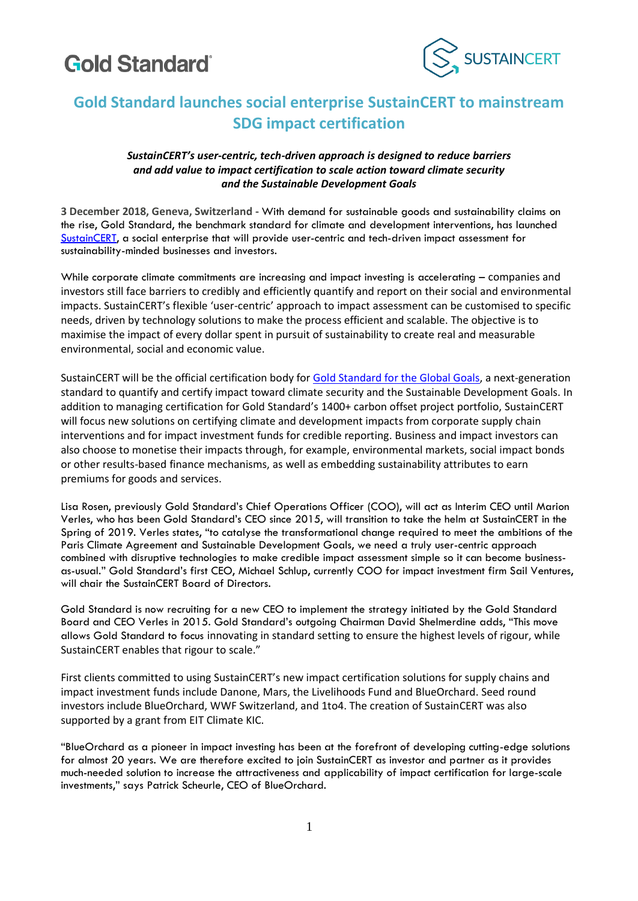# **Gold Standard**



# **Gold Standard launches social enterprise SustainCERT to mainstream SDG impact certification**

## *SustainCERT's user-centric, tech-driven approach is designed to reduce barriers and add value to impact certification to scale action toward climate security and the Sustainable Development Goals*

**3 December 2018, Geneva, Switzerland -** With demand for sustainable goods and sustainability claims on the rise, Gold Standard, the benchmark standard for climate and development interventions, has launched [SustainCERT,](http://www.sustain-cert.com/) a social enterprise that will provide user-centric and tech-driven impact assessment for sustainability-minded businesses and investors.

While corporate climate commitments are increasing and impact investing is accelerating – companies and investors still face barriers to credibly and efficiently quantify and report on their social and environmental impacts. SustainCERT's flexible 'user-centric' approach to impact assessment can be customised to specific needs, driven by technology solutions to make the process efficient and scalable. The objective is to maximise the impact of every dollar spent in pursuit of sustainability to create real and measurable environmental, social and economic value.

SustainCERT will be the official certification body for [Gold Standard for the Global Goals,](https://www.goldstandard.org/our-work/what-we-do) a next-generation standard to quantify and certify impact toward climate security and the Sustainable Development Goals. In addition to managing certification for Gold Standard's 1400+ carbon offset project portfolio, SustainCERT will focus new solutions on certifying climate and development impacts from corporate supply chain interventions and for impact investment funds for credible reporting. Business and impact investors can also choose to monetise their impacts through, for example, environmental markets, social impact bonds or other results-based finance mechanisms, as well as embedding sustainability attributes to earn premiums for goods and services.

Lisa Rosen, previously Gold Standard's Chief Operations Officer (COO), will act as Interim CEO until Marion Verles, who has been Gold Standard's CEO since 2015, will transition to take the helm at SustainCERT in the Spring of 2019. Verles states, "to catalyse the transformational change required to meet the ambitions of the Paris Climate Agreement and Sustainable Development Goals, we need a truly user-centric approach combined with disruptive technologies to make credible impact assessment simple so it can become businessas-usual." Gold Standard's first CEO, Michael Schlup, currently COO for impact investment firm Sail Ventures, will chair the SustainCERT Board of Directors.

Gold Standard is now recruiting for a new CEO to implement the strategy initiated by the Gold Standard Board and CEO Verles in 2015. Gold Standard's outgoing Chairman David Shelmerdine adds, "This move allows Gold Standard to focus innovating in standard setting to ensure the highest levels of rigour, while SustainCERT enables that rigour to scale."

First clients committed to using SustainCERT's new impact certification solutions for supply chains and impact investment funds include Danone, Mars, the Livelihoods Fund and BlueOrchard. Seed round investors include BlueOrchard, WWF Switzerland, and 1to4. The creation of SustainCERT was also supported by a grant from EIT Climate KIC.

"BlueOrchard as a pioneer in impact investing has been at the forefront of developing cutting-edge solutions for almost 20 years. We are therefore excited to join SustainCERT as investor and partner as it provides much-needed solution to increase the attractiveness and applicability of impact certification for large-scale investments," says Patrick Scheurle, CEO of BlueOrchard.